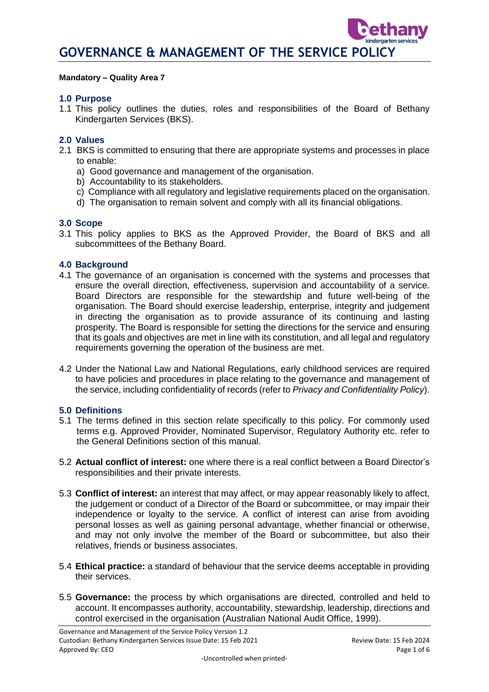#### **Mandatory – Quality Area 7**

### **1.0 Purpose**

1.1 This policy outlines the duties, roles and responsibilities of the Board of Bethany Kindergarten Services (BKS).

## **2.0 Values**

- 2.1 BKS is committed to ensuring that there are appropriate systems and processes in place to enable:
	- a) Good governance and management of the organisation.
	- b) Accountability to its stakeholders.
	- c) Compliance with all regulatory and legislative requirements placed on the organisation.
	- d) The organisation to remain solvent and comply with all its financial obligations.

#### **3.0 Scope**

3.1 This policy applies to BKS as the Approved Provider, the Board of BKS and all subcommittees of the Bethany Board.

#### **4.0 Background**

- 4.1 The governance of an organisation is concerned with the systems and processes that ensure the overall direction, effectiveness, supervision and accountability of a service. Board Directors are responsible for the stewardship and future well-being of the organisation. The Board should exercise leadership, enterprise, integrity and judgement in directing the organisation as to provide assurance of its continuing and lasting prosperity. The Board is responsible for setting the directions for the service and ensuring that its goals and objectives are met in line with its constitution, and all legal and regulatory requirements governing the operation of the business are met.
- 4.2 Under the National Law and National Regulations, early childhood services are required to have policies and procedures in place relating to the governance and management of the service, including confidentiality of records (refer to *Privacy and Confidentiality Policy*).

## **5.0 Definitions**

- 5.1 The terms defined in this section relate specifically to this policy. For commonly used terms e.g. Approved Provider, Nominated Supervisor, Regulatory Authority etc. refer to the General Definitions section of this manual.
- 5.2 **Actual conflict of interest:** one where there is a real conflict between a Board Director's responsibilities and their private interests.
- 5.3 **Conflict of interest:** an interest that may affect, or may appear reasonably likely to affect, the judgement or conduct of a Director of the Board or subcommittee, or may impair their independence or loyalty to the service. A conflict of interest can arise from avoiding personal losses as well as gaining personal advantage, whether financial or otherwise, and may not only involve the member of the Board or subcommittee, but also their relatives, friends or business associates.
- 5.4 **Ethical practice:** a standard of behaviour that the service deems acceptable in providing their services.
- 5.5 **Governance:** the process by which organisations are directed, controlled and held to account. It encompasses authority, accountability, stewardship, leadership, directions and control exercised in the organisation (Australian National Audit Office, 1999).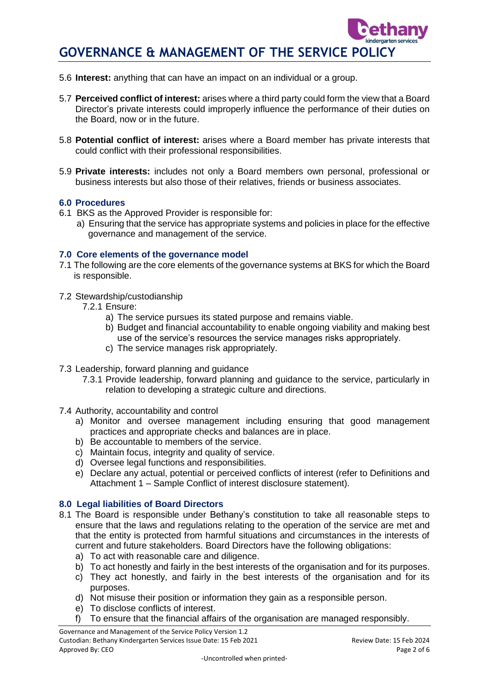- 5.6 **Interest:** anything that can have an impact on an individual or a group.
- 5.7 **Perceived conflict of interest:** arises where a third party could form the view that a Board Director's private interests could improperly influence the performance of their duties on the Board, now or in the future.
- 5.8 **Potential conflict of interest:** arises where a Board member has private interests that could conflict with their professional responsibilities.
- 5.9 **Private interests:** includes not only a Board members own personal, professional or business interests but also those of their relatives, friends or business associates.

#### **6.0 Procedures**

- 6.1 BKS as the Approved Provider is responsible for:
	- a) Ensuring that the service has appropriate systems and policies in place for the effective governance and management of the service.

#### **7.0 Core elements of the governance model**

- 7.1 The following are the core elements of the governance systems at BKS for which the Board is responsible.
- 7.2 Stewardship/custodianship
	- 7.2.1 Ensure:
		- a) The service pursues its stated purpose and remains viable.
		- b) Budget and financial accountability to enable ongoing viability and making best use of the service's resources the service manages risks appropriately.
		- c) The service manages risk appropriately.
- 7.3 Leadership, forward planning and guidance
	- 7.3.1 Provide leadership, forward planning and guidance to the service, particularly in relation to developing a strategic culture and directions.
- 7.4 Authority, accountability and control
	- a) Monitor and oversee management including ensuring that good management practices and appropriate checks and balances are in place.
	- b) Be accountable to members of the service.
	- c) Maintain focus, integrity and quality of service.
	- d) Oversee legal functions and responsibilities.
	- e) Declare any actual, potential or perceived conflicts of interest (refer to Definitions and Attachment 1 – Sample Conflict of interest disclosure statement).

## **8.0 Legal liabilities of Board Directors**

- 8.1 The Board is responsible under Bethany's constitution to take all reasonable steps to ensure that the laws and regulations relating to the operation of the service are met and that the entity is protected from harmful situations and circumstances in the interests of current and future stakeholders. Board Directors have the following obligations:
	- a) To act with reasonable care and diligence.
	- b) To act honestly and fairly in the best interests of the organisation and for its purposes.
	- c) They act honestly, and fairly in the best interests of the organisation and for its purposes.
	- d) Not misuse their position or information they gain as a responsible person.
	- e) To disclose conflicts of interest.
	- f) To ensure that the financial affairs of the organisation are managed responsibly.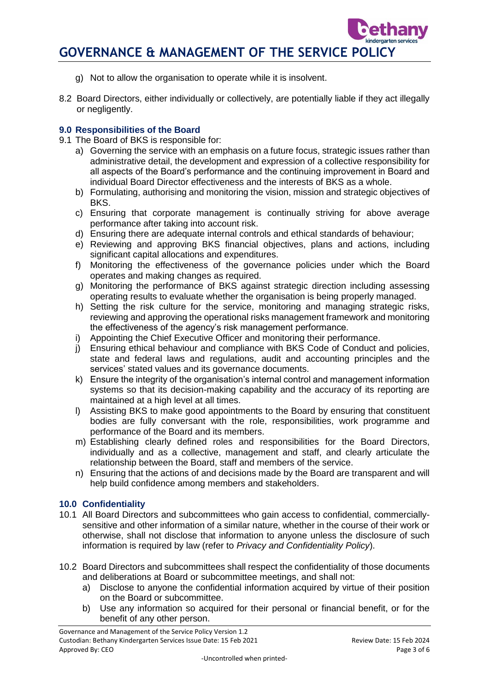- g) Not to allow the organisation to operate while it is insolvent.
- 8.2 Board Directors, either individually or collectively, are potentially liable if they act illegally or negligently.

## **9.0 Responsibilities of the Board**

- 9.1 The Board of BKS is responsible for:
	- a) Governing the service with an emphasis on a future focus, strategic issues rather than administrative detail, the development and expression of a collective responsibility for all aspects of the Board's performance and the continuing improvement in Board and individual Board Director effectiveness and the interests of BKS as a whole.
	- b) Formulating, authorising and monitoring the vision, mission and strategic objectives of BKS.
	- c) Ensuring that corporate management is continually striving for above average performance after taking into account risk.
	- d) Ensuring there are adequate internal controls and ethical standards of behaviour;
	- e) Reviewing and approving BKS financial objectives, plans and actions, including significant capital allocations and expenditures.
	- f) Monitoring the effectiveness of the governance policies under which the Board operates and making changes as required.
	- g) Monitoring the performance of BKS against strategic direction including assessing operating results to evaluate whether the organisation is being properly managed.
	- h) Setting the risk culture for the service, monitoring and managing strategic risks, reviewing and approving the operational risks management framework and monitoring the effectiveness of the agency's risk management performance.
	- i) Appointing the Chief Executive Officer and monitoring their performance.
	- j) Ensuring ethical behaviour and compliance with BKS Code of Conduct and policies, state and federal laws and regulations, audit and accounting principles and the services' stated values and its governance documents.
	- k) Ensure the integrity of the organisation's internal control and management information systems so that its decision-making capability and the accuracy of its reporting are maintained at a high level at all times.
	- l) Assisting BKS to make good appointments to the Board by ensuring that constituent bodies are fully conversant with the role, responsibilities, work programme and performance of the Board and its members.
	- m) Establishing clearly defined roles and responsibilities for the Board Directors, individually and as a collective, management and staff, and clearly articulate the relationship between the Board, staff and members of the service.
	- n) Ensuring that the actions of and decisions made by the Board are transparent and will help build confidence among members and stakeholders.

## **10.0 Confidentiality**

- 10.1 All Board Directors and subcommittees who gain access to confidential, commerciallysensitive and other information of a similar nature, whether in the course of their work or otherwise, shall not disclose that information to anyone unless the disclosure of such information is required by law (refer to *Privacy and Confidentiality Policy*).
- 10.2 Board Directors and subcommittees shall respect the confidentiality of those documents and deliberations at Board or subcommittee meetings, and shall not:
	- a) Disclose to anyone the confidential information acquired by virtue of their position on the Board or subcommittee.
	- b) Use any information so acquired for their personal or financial benefit, or for the benefit of any other person.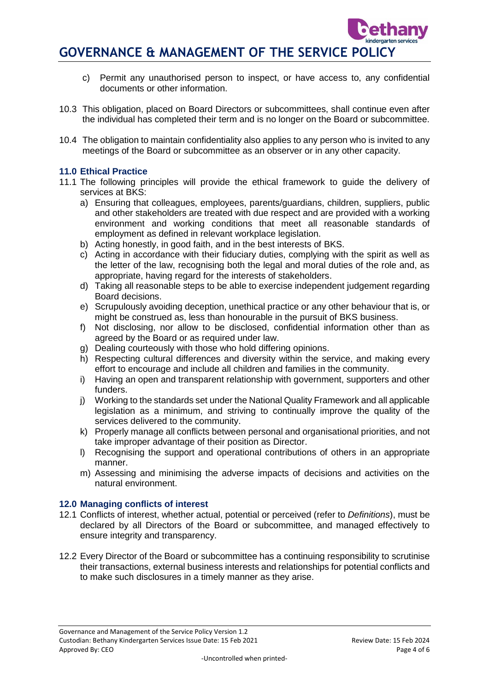- c) Permit any unauthorised person to inspect, or have access to, any confidential documents or other information.
- 10.3 This obligation, placed on Board Directors or subcommittees, shall continue even after the individual has completed their term and is no longer on the Board or subcommittee.
- 10.4 The obligation to maintain confidentiality also applies to any person who is invited to any meetings of the Board or subcommittee as an observer or in any other capacity.

## **11.0 Ethical Practice**

- 11.1 The following principles will provide the ethical framework to guide the delivery of services at BKS:
	- a) Ensuring that colleagues, employees, parents/guardians, children, suppliers, public and other stakeholders are treated with due respect and are provided with a working environment and working conditions that meet all reasonable standards of employment as defined in relevant workplace legislation.
	- b) Acting honestly, in good faith, and in the best interests of BKS.
	- c) Acting in accordance with their fiduciary duties, complying with the spirit as well as the letter of the law, recognising both the legal and moral duties of the role and, as appropriate, having regard for the interests of stakeholders.
	- d) Taking all reasonable steps to be able to exercise independent judgement regarding Board decisions.
	- e) Scrupulously avoiding deception, unethical practice or any other behaviour that is, or might be construed as, less than honourable in the pursuit of BKS business.
	- f) Not disclosing, nor allow to be disclosed, confidential information other than as agreed by the Board or as required under law.
	- g) Dealing courteously with those who hold differing opinions.
	- h) Respecting cultural differences and diversity within the service, and making every effort to encourage and include all children and families in the community.
	- i) Having an open and transparent relationship with government, supporters and other funders.
	- j) Working to the standards set under the National Quality Framework and all applicable legislation as a minimum, and striving to continually improve the quality of the services delivered to the community.
	- k) Properly manage all conflicts between personal and organisational priorities, and not take improper advantage of their position as Director.
	- l) Recognising the support and operational contributions of others in an appropriate manner.
	- m) Assessing and minimising the adverse impacts of decisions and activities on the natural environment.

## **12.0 Managing conflicts of interest**

- 12.1 Conflicts of interest, whether actual, potential or perceived (refer to *Definitions*), must be declared by all Directors of the Board or subcommittee, and managed effectively to ensure integrity and transparency.
- 12.2 Every Director of the Board or subcommittee has a continuing responsibility to scrutinise their transactions, external business interests and relationships for potential conflicts and to make such disclosures in a timely manner as they arise.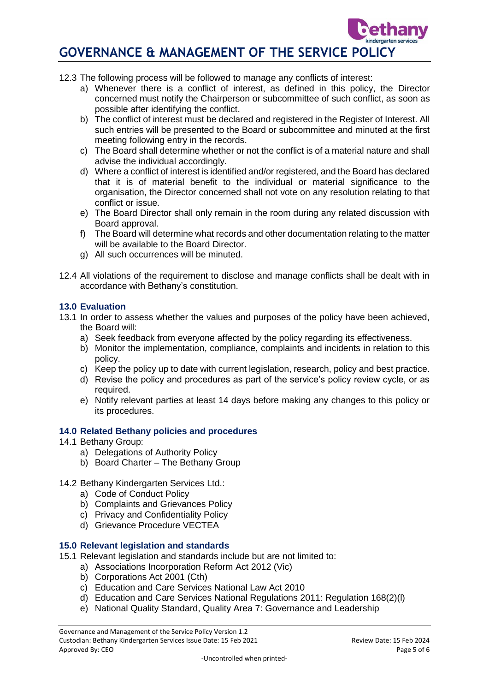- 12.3 The following process will be followed to manage any conflicts of interest:
	- a) Whenever there is a conflict of interest, as defined in this policy, the Director concerned must notify the Chairperson or subcommittee of such conflict, as soon as possible after identifying the conflict.
	- b) The conflict of interest must be declared and registered in the Register of Interest. All such entries will be presented to the Board or subcommittee and minuted at the first meeting following entry in the records.
	- c) The Board shall determine whether or not the conflict is of a material nature and shall advise the individual accordingly.
	- d) Where a conflict of interest is identified and/or registered, and the Board has declared that it is of material benefit to the individual or material significance to the organisation, the Director concerned shall not vote on any resolution relating to that conflict or issue.
	- e) The Board Director shall only remain in the room during any related discussion with Board approval.
	- f) The Board will determine what records and other documentation relating to the matter will be available to the Board Director.
	- g) All such occurrences will be minuted.
- 12.4 All violations of the requirement to disclose and manage conflicts shall be dealt with in accordance with Bethany's constitution.

#### **13.0 Evaluation**

- 13.1 In order to assess whether the values and purposes of the policy have been achieved, the Board will:
	- a) Seek feedback from everyone affected by the policy regarding its effectiveness.
	- b) Monitor the implementation, compliance, complaints and incidents in relation to this policy.
	- c) Keep the policy up to date with current legislation, research, policy and best practice.
	- d) Revise the policy and procedures as part of the service's policy review cycle, or as required.
	- e) Notify relevant parties at least 14 days before making any changes to this policy or its procedures.

#### **14.0 Related Bethany policies and procedures**

- 14.1 Bethany Group:
	- a) Delegations of Authority Policy
	- b) Board Charter The Bethany Group

## 14.2 Bethany Kindergarten Services Ltd.:

- a) Code of Conduct Policy
- b) Complaints and Grievances Policy
- c) Privacy and Confidentiality Policy
- d) Grievance Procedure VECTEA

#### **15.0 Relevant legislation and standards**

- 15.1 Relevant legislation and standards include but are not limited to:
	- a) Associations Incorporation Reform Act 2012 (Vic)
	- b) Corporations Act 2001 (Cth)
	- c) Education and Care Services National Law Act 2010
	- d) Education and Care Services National Regulations 2011: Regulation 168(2)(l)
	- e) National Quality Standard, Quality Area 7: Governance and Leadership